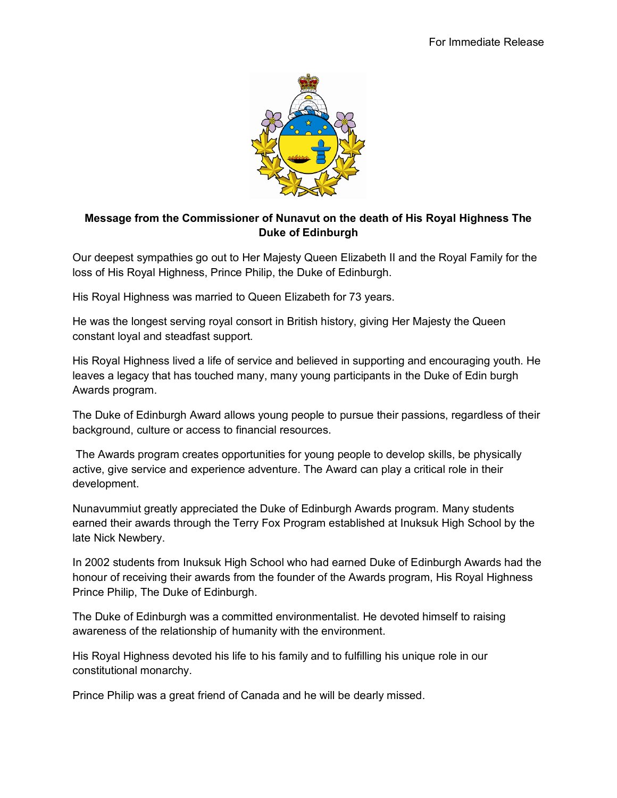

## **Message from the Commissioner of Nunavut on the death of His Royal Highness The Duke of Edinburgh**

Our deepest sympathies go out to Her Majesty Queen Elizabeth II and the Royal Family for the loss of His Royal Highness, Prince Philip, the Duke of Edinburgh.

His Royal Highness was married to Queen Elizabeth for 73 years.

He was the longest serving royal consort in British history, giving Her Majesty the Queen constant loyal and steadfast support.

His Royal Highness lived a life of service and believed in supporting and encouraging youth. He leaves a legacy that has touched many, many young participants in the Duke of Edin burgh Awards program.

The Duke of Edinburgh Award allows young people to pursue their passions, regardless of their background, culture or access to financial resources.

The Awards program creates opportunities for young people to develop skills, be physically active, give service and experience adventure. The Award can play a critical role in their development.

Nunavummiut greatly appreciated the Duke of Edinburgh Awards program. Many students earned their awards through the Terry Fox Program established at Inuksuk High School by the late Nick Newbery.

In 2002 students from Inuksuk High School who had earned Duke of Edinburgh Awards had the honour of receiving their awards from the founder of the Awards program, His Royal Highness Prince Philip, The Duke of Edinburgh.

The Duke of Edinburgh was a committed environmentalist. He devoted himself to raising awareness of the relationship of humanity with the environment.

His Royal Highness devoted his life to his family and to fulfilling his unique role in our constitutional monarchy.

Prince Philip was a great friend of Canada and he will be dearly missed.